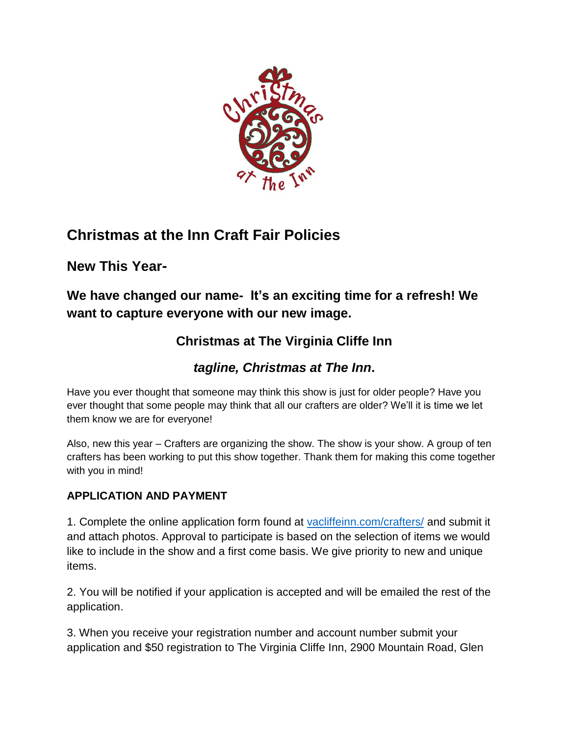

# **Christmas at the Inn Craft Fair Policies**

**New This Year-**

**We have changed our name- It's an exciting time for a refresh! We want to capture everyone with our new image.** 

## **Christmas at The Virginia Cliffe Inn**

### *tagline, Christmas at The Inn***.**

Have you ever thought that someone may think this show is just for older people? Have you ever thought that some people may think that all our crafters are older? We'll it is time we let them know we are for everyone!

Also, new this year – Crafters are organizing the show. The show is your show. A group of ten crafters has been working to put this show together. Thank them for making this come together with you in mind!

### **APPLICATION AND PAYMENT**

1. Complete the online application form found at [vacliffeinn.com/crafters/](https://www.vacliffein.com/crafters/) and submit it and attach photos. Approval to participate is based on the selection of items we would like to include in the show and a first come basis. We give priority to new and unique items.

2. You will be notified if your application is accepted and will be emailed the rest of the application.

3. When you receive your registration number and account number submit your application and \$50 registration to The Virginia Cliffe Inn, 2900 Mountain Road, Glen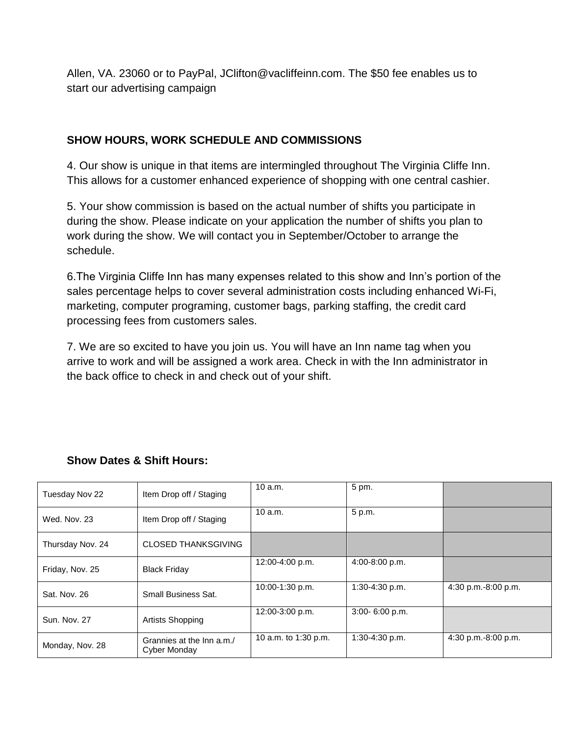Allen, VA. 23060 or to PayPal, JClifton@vacliffeinn.com. The \$50 fee enables us to start our advertising campaign

#### **SHOW HOURS, WORK SCHEDULE AND COMMISSIONS**

4. Our show is unique in that items are intermingled throughout The Virginia Cliffe Inn. This allows for a customer enhanced experience of shopping with one central cashier.

5. Your show commission is based on the actual number of shifts you participate in during the show. Please indicate on your application the number of shifts you plan to work during the show. We will contact you in September/October to arrange the schedule.

6.The Virginia Cliffe Inn has many expenses related to this show and Inn's portion of the sales percentage helps to cover several administration costs including enhanced Wi-Fi, marketing, computer programing, customer bags, parking staffing, the credit card processing fees from customers sales.

7. We are so excited to have you join us. You will have an Inn name tag when you arrive to work and will be assigned a work area. Check in with the Inn administrator in the back office to check in and check out of your shift.

| Tuesday Nov 22      | Item Drop off / Staging                   | 10a.m.               | 5 pm.            |                       |
|---------------------|-------------------------------------------|----------------------|------------------|-----------------------|
| Wed. Nov. 23        | Item Drop off / Staging                   | 10a.m.               | 5 p.m.           |                       |
| Thursday Nov. 24    | <b>CLOSED THANKSGIVING</b>                |                      |                  |                       |
| Friday, Nov. 25     | <b>Black Friday</b>                       | 12:00-4:00 p.m.      | 4:00-8:00 p.m.   |                       |
| Sat. Nov. 26        | Small Business Sat.                       | 10:00-1:30 p.m.      | $1:30-4:30$ p.m. | 4:30 p.m.-8:00 p.m.   |
| <b>Sun. Nov. 27</b> | Artists Shopping                          | 12:00-3:00 p.m.      | 3:00-6:00 p.m.   |                       |
| Monday, Nov. 28     | Grannies at the Inn a.m./<br>Cyber Monday | 10 a.m. to 1:30 p.m. | $1:30-4:30 p.m.$ | $4:30$ p.m.-8:00 p.m. |

#### **Show Dates & Shift Hours:**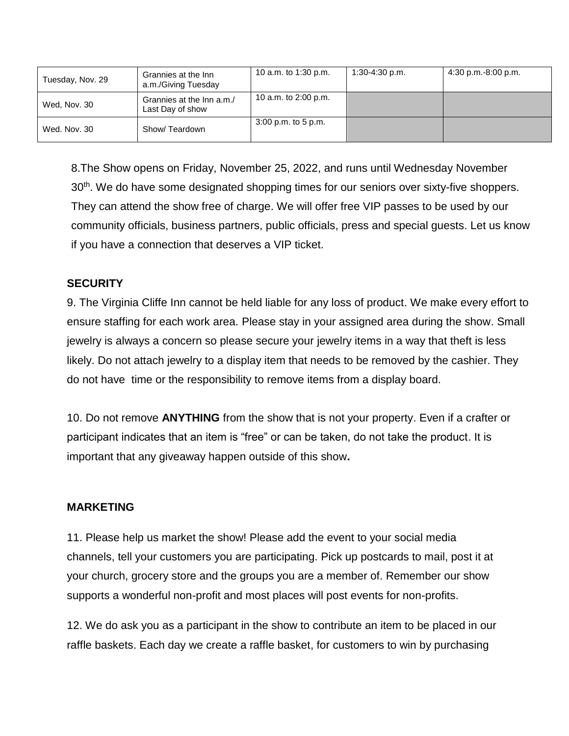| Tuesday, Nov. 29 | Grannies at the Inn<br>a.m./Giving Tuesday    | 10 a.m. to 1:30 p.m.  | 1:30-4:30 p.m. | $4:30$ p.m.-8:00 p.m. |
|------------------|-----------------------------------------------|-----------------------|----------------|-----------------------|
| Wed, Nov. 30     | Grannies at the Inn a.m./<br>Last Day of show | 10 a.m. to 2:00 p.m.  |                |                       |
| Wed. Nov. 30     | Show/Teardown                                 | $3:00$ p.m. to 5 p.m. |                |                       |

8.The Show opens on Friday, November 25, 2022, and runs until Wednesday November 30<sup>th</sup>. We do have some designated shopping times for our seniors over sixty-five shoppers. They can attend the show free of charge. We will offer free VIP passes to be used by our community officials, business partners, public officials, press and special guests. Let us know if you have a connection that deserves a VIP ticket.

#### **SECURITY**

9. The Virginia Cliffe Inn cannot be held liable for any loss of product. We make every effort to ensure staffing for each work area. Please stay in your assigned area during the show. Small jewelry is always a concern so please secure your jewelry items in a way that theft is less likely. Do not attach jewelry to a display item that needs to be removed by the cashier. They do not have time or the responsibility to remove items from a display board.

10. Do not remove **ANYTHING** from the show that is not your property. Even if a crafter or participant indicates that an item is "free" or can be taken, do not take the product. It is important that any giveaway happen outside of this show**.**

#### **MARKETING**

11. Please help us market the show! Please add the event to your social media channels, tell your customers you are participating. Pick up postcards to mail, post it at your church, grocery store and the groups you are a member of. Remember our show supports a wonderful non-profit and most places will post events for non-profits.

12. We do ask you as a participant in the show to contribute an item to be placed in our raffle baskets. Each day we create a raffle basket, for customers to win by purchasing